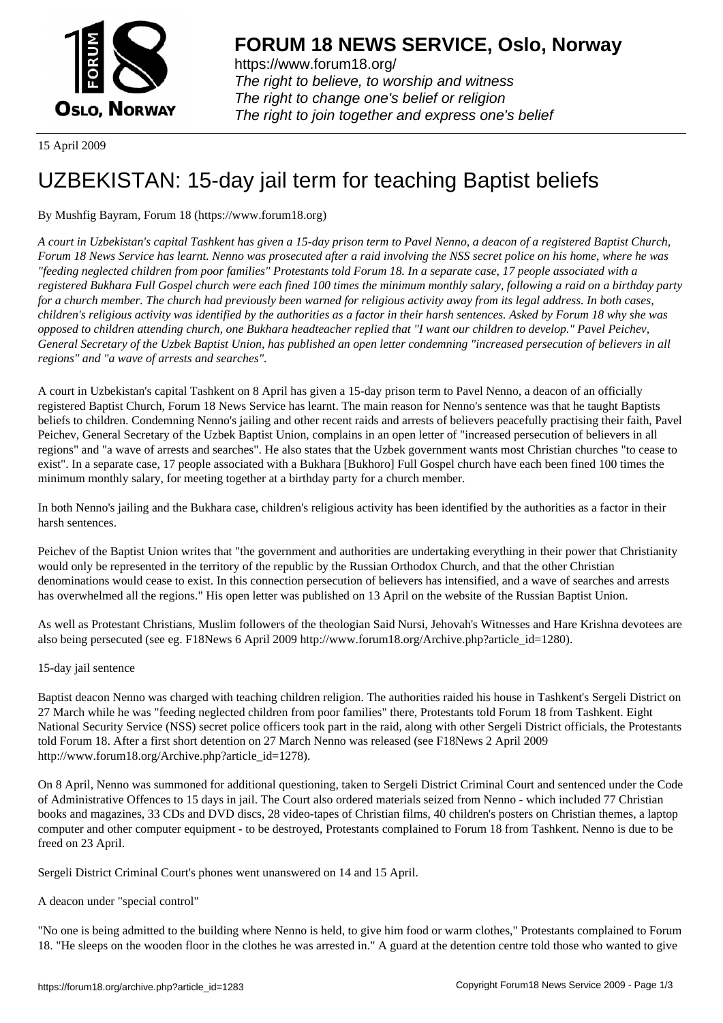

https://www.forum18.org/ The right to believe, to worship and witness The right to change one's belief or religion [The right to join together a](https://www.forum18.org/)nd express one's belief

15 April 2009

# [UZBEKISTAN:](https://www.forum18.org) 15-day jail term for teaching Baptist beliefs

## By Mushfig Bayram, Forum 18 (https://www.forum18.org)

*A court in Uzbekistan's capital Tashkent has given a 15-day prison term to Pavel Nenno, a deacon of a registered Baptist Church, Forum 18 News Service has learnt. Nenno was prosecuted after a raid involving the NSS secret police on his home, where he was "feeding neglected children from poor families" Protestants told Forum 18. In a separate case, 17 people associated with a registered Bukhara Full Gospel church were each fined 100 times the minimum monthly salary, following a raid on a birthday party for a church member. The church had previously been warned for religious activity away from its legal address. In both cases, children's religious activity was identified by the authorities as a factor in their harsh sentences. Asked by Forum 18 why she was opposed to children attending church, one Bukhara headteacher replied that "I want our children to develop." Pavel Peichev, General Secretary of the Uzbek Baptist Union, has published an open letter condemning "increased persecution of believers in all regions" and "a wave of arrests and searches".*

A court in Uzbekistan's capital Tashkent on 8 April has given a 15-day prison term to Pavel Nenno, a deacon of an officially registered Baptist Church, Forum 18 News Service has learnt. The main reason for Nenno's sentence was that he taught Baptists beliefs to children. Condemning Nenno's jailing and other recent raids and arrests of believers peacefully practising their faith, Pavel Peichev, General Secretary of the Uzbek Baptist Union, complains in an open letter of "increased persecution of believers in all regions" and "a wave of arrests and searches". He also states that the Uzbek government wants most Christian churches "to cease to exist". In a separate case, 17 people associated with a Bukhara [Bukhoro] Full Gospel church have each been fined 100 times the minimum monthly salary, for meeting together at a birthday party for a church member.

In both Nenno's jailing and the Bukhara case, children's religious activity has been identified by the authorities as a factor in their harsh sentences.

Peichev of the Baptist Union writes that "the government and authorities are undertaking everything in their power that Christianity would only be represented in the territory of the republic by the Russian Orthodox Church, and that the other Christian denominations would cease to exist. In this connection persecution of believers has intensified, and a wave of searches and arrests has overwhelmed all the regions." His open letter was published on 13 April on the website of the Russian Baptist Union.

As well as Protestant Christians, Muslim followers of the theologian Said Nursi, Jehovah's Witnesses and Hare Krishna devotees are also being persecuted (see eg. F18News 6 April 2009 http://www.forum18.org/Archive.php?article\_id=1280).

#### 15-day jail sentence

Baptist deacon Nenno was charged with teaching children religion. The authorities raided his house in Tashkent's Sergeli District on 27 March while he was "feeding neglected children from poor families" there, Protestants told Forum 18 from Tashkent. Eight National Security Service (NSS) secret police officers took part in the raid, along with other Sergeli District officials, the Protestants told Forum 18. After a first short detention on 27 March Nenno was released (see F18News 2 April 2009 http://www.forum18.org/Archive.php?article\_id=1278).

On 8 April, Nenno was summoned for additional questioning, taken to Sergeli District Criminal Court and sentenced under the Code of Administrative Offences to 15 days in jail. The Court also ordered materials seized from Nenno - which included 77 Christian books and magazines, 33 CDs and DVD discs, 28 video-tapes of Christian films, 40 children's posters on Christian themes, a laptop computer and other computer equipment - to be destroyed, Protestants complained to Forum 18 from Tashkent. Nenno is due to be freed on 23 April.

Sergeli District Criminal Court's phones went unanswered on 14 and 15 April.

#### A deacon under "special control"

"No one is being admitted to the building where Nenno is held, to give him food or warm clothes," Protestants complained to Forum 18. "He sleeps on the wooden floor in the clothes he was arrested in." A guard at the detention centre told those who wanted to give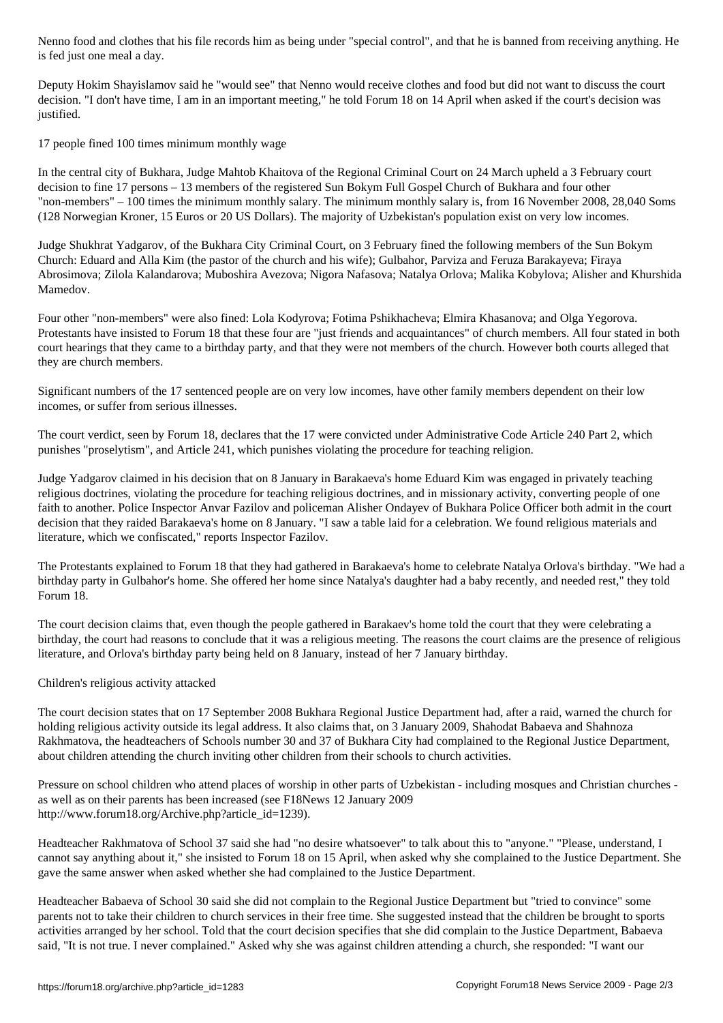is fed just one meal a day.

Deputy Hokim Shayislamov said he "would see" that Nenno would receive clothes and food but did not want to discuss the court decision. "I don't have time, I am in an important meeting," he told Forum 18 on 14 April when asked if the court's decision was justified.

17 people fined 100 times minimum monthly wage

In the central city of Bukhara, Judge Mahtob Khaitova of the Regional Criminal Court on 24 March upheld a 3 February court decision to fine 17 persons – 13 members of the registered Sun Bokym Full Gospel Church of Bukhara and four other "non-members" – 100 times the minimum monthly salary. The minimum monthly salary is, from 16 November 2008, 28,040 Soms (128 Norwegian Kroner, 15 Euros or 20 US Dollars). The majority of Uzbekistan's population exist on very low incomes.

Judge Shukhrat Yadgarov, of the Bukhara City Criminal Court, on 3 February fined the following members of the Sun Bokym Church: Eduard and Alla Kim (the pastor of the church and his wife); Gulbahor, Parviza and Feruza Barakayeva; Firaya Abrosimova; Zilola Kalandarova; Muboshira Avezova; Nigora Nafasova; Natalya Orlova; Malika Kobylova; Alisher and Khurshida Mamedov.

Four other "non-members" were also fined: Lola Kodyrova; Fotima Pshikhacheva; Elmira Khasanova; and Olga Yegorova. Protestants have insisted to Forum 18 that these four are "just friends and acquaintances" of church members. All four stated in both court hearings that they came to a birthday party, and that they were not members of the church. However both courts alleged that they are church members.

Significant numbers of the 17 sentenced people are on very low incomes, have other family members dependent on their low incomes, or suffer from serious illnesses.

The court verdict, seen by Forum 18, declares that the 17 were convicted under Administrative Code Article 240 Part 2, which punishes "proselytism", and Article 241, which punishes violating the procedure for teaching religion.

Judge Yadgarov claimed in his decision that on 8 January in Barakaeva's home Eduard Kim was engaged in privately teaching religious doctrines, violating the procedure for teaching religious doctrines, and in missionary activity, converting people of one faith to another. Police Inspector Anvar Fazilov and policeman Alisher Ondayev of Bukhara Police Officer both admit in the court decision that they raided Barakaeva's home on 8 January. "I saw a table laid for a celebration. We found religious materials and literature, which we confiscated," reports Inspector Fazilov.

The Protestants explained to Forum 18 that they had gathered in Barakaeva's home to celebrate Natalya Orlova's birthday. "We had a birthday party in Gulbahor's home. She offered her home since Natalya's daughter had a baby recently, and needed rest," they told Forum 18.

The court decision claims that, even though the people gathered in Barakaev's home told the court that they were celebrating a birthday, the court had reasons to conclude that it was a religious meeting. The reasons the court claims are the presence of religious literature, and Orlova's birthday party being held on 8 January, instead of her 7 January birthday.

### Children's religious activity attacked

The court decision states that on 17 September 2008 Bukhara Regional Justice Department had, after a raid, warned the church for holding religious activity outside its legal address. It also claims that, on 3 January 2009, Shahodat Babaeva and Shahnoza Rakhmatova, the headteachers of Schools number 30 and 37 of Bukhara City had complained to the Regional Justice Department, about children attending the church inviting other children from their schools to church activities.

Pressure on school children who attend places of worship in other parts of Uzbekistan - including mosques and Christian churches as well as on their parents has been increased (see F18News 12 January 2009 http://www.forum18.org/Archive.php?article\_id=1239).

Headteacher Rakhmatova of School 37 said she had "no desire whatsoever" to talk about this to "anyone." "Please, understand, I cannot say anything about it," she insisted to Forum 18 on 15 April, when asked why she complained to the Justice Department. She gave the same answer when asked whether she had complained to the Justice Department.

Headteacher Babaeva of School 30 said she did not complain to the Regional Justice Department but "tried to convince" some parents not to take their children to church services in their free time. She suggested instead that the children be brought to sports activities arranged by her school. Told that the court decision specifies that she did complain to the Justice Department, Babaeva said, "It is not true. I never complained." Asked why she was against children attending a church, she responded: "I want our